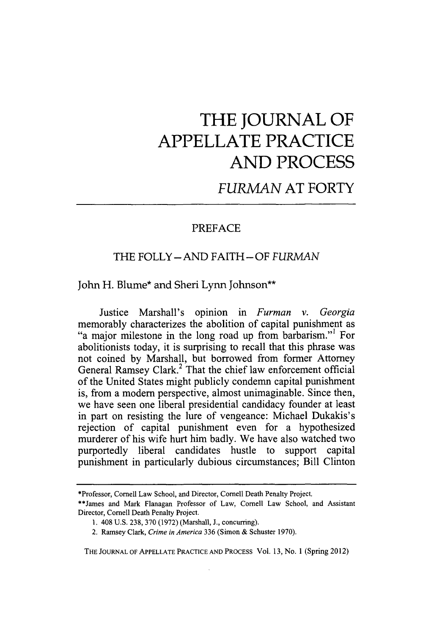# **THE JOURNAL OF APPELLATE PRACTICE AND PROCESS**

## *FURMAN* AT FORTY

### PREFACE

#### THE FOLLY- AND FAITH-OF *FURMAN*

#### John H. Blume\* and Sheri Lynn Johnson\*\*

Justice Marshall's opinion in *Furman v. Georgia* memorably characterizes the abolition of capital punishment as "a major milestone in the long road up from barbarism."' For abolitionists today, it is surprising to recall that this phrase was not coined by Marshall, but borrowed from former Attorney General Ramsey Clark.<sup>2</sup> That the chief law enforcement official of the United States might publicly condemn capital punishment is, from a modem perspective, almost unimaginable. Since then, we have seen one liberal presidential candidacy founder at least in part on resisting the lure of vengeance: Michael Dukakis's rejection of capital punishment even for a hypothesized murderer of his wife hurt him badly. We have also watched two purportedly liberal candidates hustle to support capital punishment in particularly dubious circumstances; Bill Clinton

THE JOURNAL OF APPELLATE PRACTICE AND PROCESS Vol. 13, No. 1 (Spring 2012)

<sup>\*</sup>Professor, Cornell Law School, and Director, Cornell Death Penalty Project.

<sup>\*\*</sup>James and Mark Flanagan Professor of Law, Cornell Law School, and Assistant Director, Cornell Death Penalty Project.

<sup>1. 408</sup> U.S. 238, 370 (1972) (Marshall, J., concurring).

<sup>2.</sup> Ramsey Clark, Crime *in America* 336 (Simon & Schuster 1970).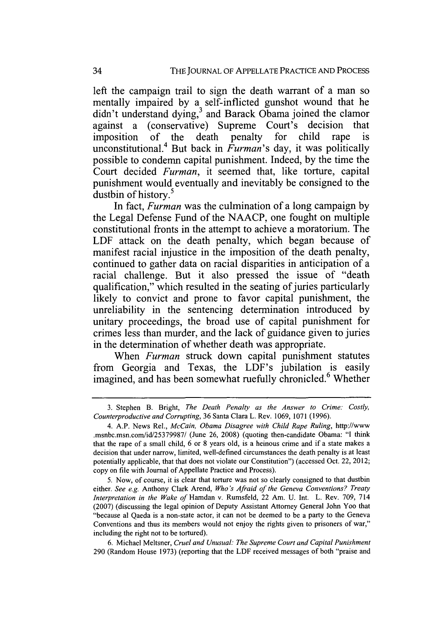left the campaign trail to sign the death warrant of a man so mentally impaired **by** a self-inflicted gunshot wound that he didn't understand dying,<sup>3</sup> and Barack Obama joined the clamor against a (conservative) Supreme Court's decision that imposition of the death penalty for child rape is unconstitutional.4 But back in *Furman's* day, it was politically possible to condemn capital punishment. Indeed, **by** the time the Court decided *Furman,* it seemed that, like torture, capital punishment would eventually and inevitably be consigned to the dustbin of history.<sup>5</sup>

In fact, *Furman* was the culmination of a long campaign **by** the Legal Defense Fund of the **NAACP,** one fought on multiple constitutional fronts in the attempt to achieve a moratorium. The LDF attack on the death penalty, which began because of manifest racial injustice in the imposition of the death penalty, continued to gather data on racial disparities in anticipation of a racial challenge. But it also pressed the issue of "death qualification," which resulted in the seating of juries particularly likely to convict and prone to favor capital punishment, the unreliability in the sentencing determination introduced **by** unitary proceedings, the broad use of capital punishment for crimes less than murder, and the lack of guidance given to juries in the determination of whether death was appropriate.

When *Furman* struck down capital punishment statutes from Georgia and Texas, the LDF's jubilation is easily imagined, and has been somewhat ruefully chronicled.<sup>6</sup> Whether

**<sup>3.</sup>** Stephen B. Bright, *The Death Penalty as the Answer to Crime: Costly, Counterproductive and Corrupting,* **36** Santa Clara L. Rev. **1069, 1071 (1996).**

<sup>4.</sup> A.P. News Rel., *McCain, Obama Disagree with Child Rape Ruling,* http://www .msnbc.msn.com/id/25379987/ (June **26, 2008)** (quoting then-candidate Obama: **"I** think that the rape of a small child, **6** or **8** years old, is a heinous crime and if a state makes a decision that under narrow, limited, well-defined circumstances the death penalty is at least potentially applicable, that that does not violate our Constitution") (accessed Oct. 22, 2012; copy on file with Journal of Appellate Practice and Process).

**<sup>5.</sup>** Now, of course, it is clear that torture was not so clearly consigned to that dustbin either. *See e.g.* Anthony Clark Arend, *Who's Afraid of the Geneva Conventions? Treaty Interpretation in the Wake of* Hamdan v. Rumsfeld, 22 Am. **U. Int.** L. Rev. **709,** <sup>714</sup> **(2007)** (discussing the legal opinion of Deputy Assistant Attorney General John Yoo that "because al Qaeda is a non-state actor, it can not be deemed to **be** a party to the Geneva Conventions and thus its members would not enjoy the rights given to prisoners of war," including the right not to be tortured).

**<sup>6.</sup>** Michael Meltsner, *Cruel and Unusual: The Supreme Court and Capital Punishment* **290** (Random House **1973)** (reporting that the LDF received messages of both "praise and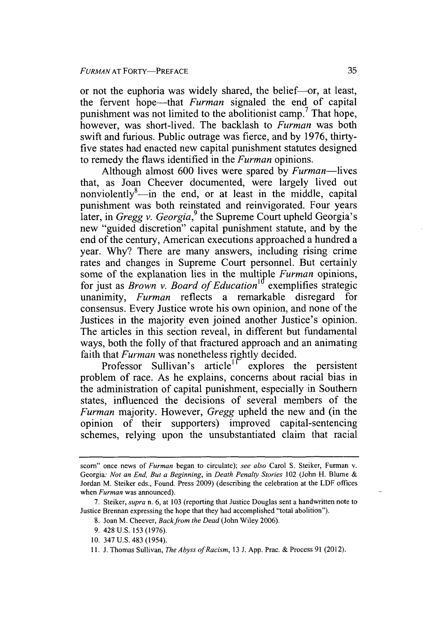or not the euphoria was widely shared, the belief-or, at least, the fervent hope-that *Furman* signaled the end of capital punishment was not limited to the abolitionist camp.<sup>7</sup> That hope, however, was short-lived. The backlash to *Furman* was both swift and furious. Public outrage was fierce, and by 1976, thirtyfive states had enacted new capital punishment statutes designed to remedy the flaws identified in the *Furman* opinions.

Although almost 600 lives were spared by *Furman-lives* that, as Joan Cheever documented, were largely lived out nonviolently<sup>8</sup>—in the end, or at least in the middle, capital punishment was both reinstated and reinvigorated. Four years later, in *Gregg v. Georgia*,<sup>9</sup> the Supreme Court upheld Georgia's new "guided discretion" capital punishment statute, and by the end of the century, American executions approached a hundred a year. Why? There are many answers, including rising crime rates and changes in Supreme Court personnel. But certainly some of the explanation lies in the multiple *Furman* opinions, for just as *Brown v. Board of Education*<sup>10</sup> exemplifies strategic unanimity, *Furman* reflects a remarkable disregard for consensus. Every Justice wrote his own opinion, and none of the Justices in the majority even joined another Justice's opinion. The articles in this section reveal, in different but fundamental ways, both the folly of that fractured approach and an animating faith that *Furman* was nonetheless rightly decided.

Professor Sullivan's article<sup> $\text{1}$ </sup> explores the persistent problem of race. As he explains, concerns about racial bias in the administration of capital punishment, especially in Southern states, influenced the decisions of several members of the *Furman* majority. However, *Gregg* upheld the new and (in the opinion of their supporters) improved capital-sentencing schemes, relying upon the unsubstantiated claim that racial

- 8. Joan M. Cheever, *Back from the Dead* (John Wiley 2006).
- 9. 428 U.S. 153 (1976).
- 10. 347 **U.S.** 483 (1954).
- 11. J. Thomas Sullivan, *The Abyss of Racism,* 13 J. App. Prac. & Process 91 (2012).

scorn" once news of *Furman* began to circulate); *see also* Carol **S.** Steiker, Furman v. Georgia: *Not an End, But a Beginning,* in *Death Penalty Stories* 102 (John H. Blume & Jordan M. Steiker eds., Found. Press 2009) (describing the celebration at the LDF offices when *Furman* was announced).

<sup>7.</sup> Steiker, *supra* n. 6, at 103 (reporting that Justice Douglas sent a handwritten note to Justice Brennan expressing the hope that they had accomplished "total abolition").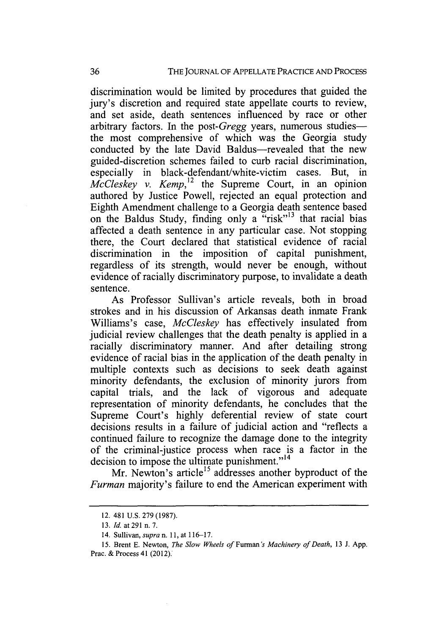discrimination would be limited by procedures that guided the jury's discretion and required state appellate courts to review, and set aside, death sentences influenced by race or other arbitrary factors. In the post-*Gregg* years, numerous studiesthe most comprehensive of which was the Georgia study conducted by the late David Baldus-revealed that the new guided-discretion schemes failed to curb racial discrimination, especially in black-defendant/white-victim cases. But, in  $\dot{McC}$ *leskey v. Kemp*,<sup>12</sup> the Supreme Court, in an opinion authored by Justice Powell, rejected an equal protection and Eighth Amendment challenge to a Georgia death sentence based on the Baldus Study, finding only a "risk"<sup>13</sup> that racial bias affected a death sentence in any particular case. Not stopping there, the Court declared that statistical evidence of racial discrimination in the imposition of capital punishment, regardless of its strength, would never be enough, without evidence of racially discriminatory purpose, to invalidate a death sentence.

As Professor Sullivan's article reveals, both in broad strokes and in his discussion of Arkansas death inmate Frank Williams's case, *McCleskey* has effectively insulated from judicial review challenges that the death penalty is applied in a racially discriminatory manner. And after detailing strong evidence of racial bias in the application of the death penalty in multiple contexts such as decisions to seek death against minority defendants, the exclusion of minority jurors from capital trials, and the lack of vigorous and adequate representation of minority defendants, he concludes that the Supreme Court's highly deferential review of state court decisions results in a failure of judicial action and "reflects a continued failure to recognize the damage done to the integrity of the criminal-justice process when race is a factor in the decision to impose the ultimate punishment."<sup>14</sup>

Mr. Newton's article<sup>15</sup> addresses another byproduct of the *Furman* majority's failure to end the American experiment with

<sup>12. 481</sup> U.S. 279 (1987).

<sup>13.</sup> *Id.* at 291 n. 7.

<sup>14.</sup> Sullivan, *supra* n. 11, at 116-17.

<sup>15.</sup> Brent E. Newton, *The Slow Wheels of Furnan's Machinery of Death,* 13 J. App. Prac. & Process 41 (2012).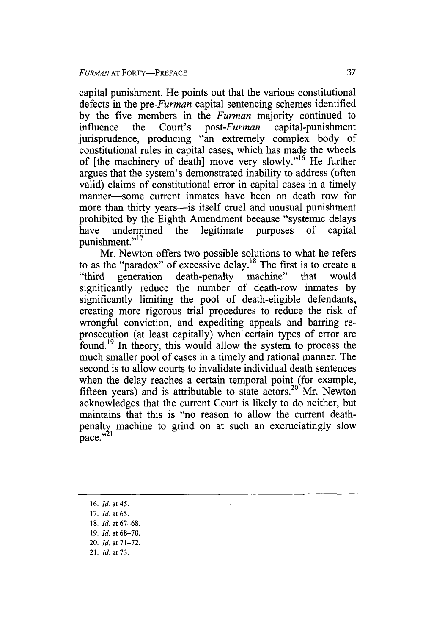capital punishment. He points out that the various constitutional defects in the *pre-Furman* capital sentencing schemes identified by the five members in the *Furman* majority continued to influence the Court's post-*Furman* capital-punishment influence the Court's *post-Furman* capital-punishment jurisprudence, producing "an extremely complex body of constitutional rules in capital cases, which has made the wheels of [the machinery of death] move very slowly."<sup>16</sup> He further argues that the system's demonstrated inability to address (often valid) claims of constitutional error in capital cases in a timely manner-some current inmates have been on death row for more than thirty years--is itself cruel and unusual punishment prohibited by the Eighth Amendment because "systemic delays have undermined the legitimate purposes of capital punishment."<sup>17</sup>

Mr. Newton offers two possible solutions to what he refers to as the "paradox" of excessive delay.<sup>18</sup> The first is to create a "third generation death-penalty machine" that would significantly reduce the number of death-row inmates by significantly limiting the pool of death-eligible defendants, creating more rigorous trial procedures to reduce the risk of wrongful conviction, and expediting appeals and barring reprosecution (at least capitally) when certain types of error are found. 19 In theory, this would allow the system to process the much smaller pool of cases in a timely and rational manner. The second is to allow courts to invalidate individual death sentences when the delay reaches a certain temporal point (for example, fifteen years) and is attributable to state  $\arccos$ <sup>20</sup> Mr. Newton acknowledges that the current Court is likely to do neither, but maintains that this is "no reason to allow the current deathpenalty machine to grind on at such an excruciatingly slow pace."<sup>21</sup>

- 16. *Id.* at 45.
- 17. *Id.* at 65.
- 18. *Id.* at 67-68.
- 19. *Id.* at 68-70.
- 20. *Id.* at **71-72.**
- 21. *Id.* at 73.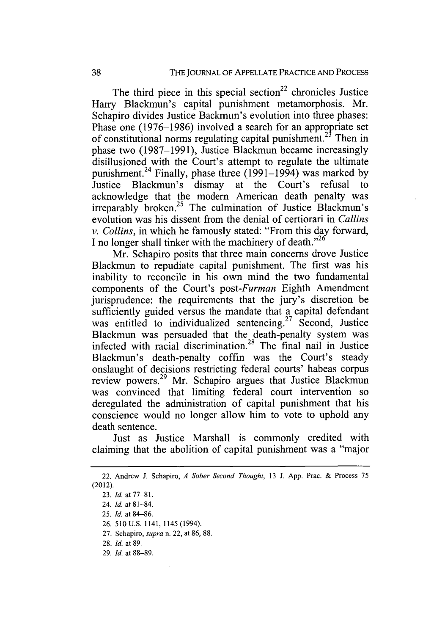The third piece in this special section<sup>22</sup> chronicles Justice Harry Blackmun's capital punishment metamorphosis. Mr. Schapiro divides Justice Backmun's evolution into three phases: Phase one (1976-1986) involved a search for an appropriate set of constitutional norms regulating capital punishment.<sup>23</sup> Then in phase two (1987-1991), Justice Blackmun became increasingly disillusioned with the Court's attempt to regulate the ultimate punishment.<sup>24</sup> Finally, phase three (1991–1994) was marked by Justice Blackmun's dismay at the Court's refusal to acknowledge that the modem American death penalty was  $irreparably$  broken.<sup>25</sup> The culmination of Justice Blackmun's evolution was his dissent from the denial of certiorari in *Callins v. Collins,* in which he famously stated: "From this day forward, I no longer shall tinker with the machinery of death."<sup>26</sup>

Mr. Schapiro posits that three main concerns drove Justice Blackmun to repudiate capital punishment. The first was his inability to reconcile in his own mind the two fundamental components of the Court's *post-Furman* Eighth Amendment jurisprudence: the requirements that the jury's discretion be sufficiently guided versus the mandate that a capital defendant was entitled to individualized sentencing.<sup>27</sup> Second, Justice Blackmun was persuaded that the death-penalty system was infected with racial discrimination.<sup>28</sup> The final nail in Justice Blackmun's death-penalty coffin was the Court's steady onslaught of decisions restricting federal courts' habeas corpus review powers.<sup>29</sup> Mr. Schapiro argues that Justice Blackmun was convinced that limiting federal court intervention so deregulated the administration of capital punishment that his conscience would no longer allow him to vote to uphold any death sentence.

Just as Justice Marshall is commonly credited with claiming that the abolition of capital punishment was a "major

29. *Id.* at 88-89.

<sup>22.</sup> Andrew J. Schapiro, *A Sober Second Thought,* 13 J. App. Prac. & Process 75 (2012).

<sup>23.</sup> *Id.* at **77-81.**

<sup>24.</sup> *Id.* at 81-84.

<sup>25.</sup> *Id.* at 84-86.

<sup>26. 510</sup> U.S. 1141, 1145 (1994).

<sup>27.</sup> Schapiro, *supra* n. 22, at 86, 88.

<sup>28.</sup> *Id.* at 89.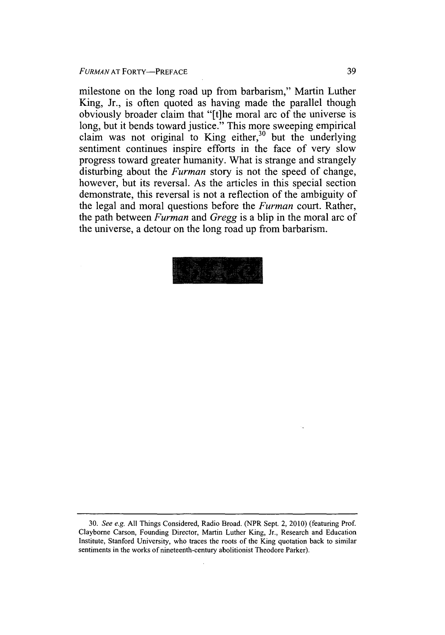milestone on the long road up from barbarism," Martin Luther King, Jr., is often quoted as having made the parallel though obviously broader claim that "[t]he moral arc of the universe is long, but it bends toward justice." This more sweeping empirical claim was not original to King either, $30$  but the underlying sentiment continues inspire efforts in the face of very slow progress toward greater humanity. What is strange and strangely disturbing about the *Furman* story is not the speed of change, however, but its reversal. As the articles in this special section demonstrate, this reversal is not a reflection of the ambiguity of the legal and moral questions before the *Furman* court. Rather, the path between *Furman* and *Gregg* is a blip in the moral arc of the universe, a detour on the long road up from barbarism.



<sup>30.</sup> *See e.g.* All Things Considered, Radio Broad. (NPR Sept. 2, 2010) (featuring Prof. Clayborne Carson, Founding Director, Martin Luther King, Jr., Research and Education Institute, Stanford University, who traces the roots of the King quotation back to similar sentiments in the works of nineteenth-century abolitionist Theodore Parker).